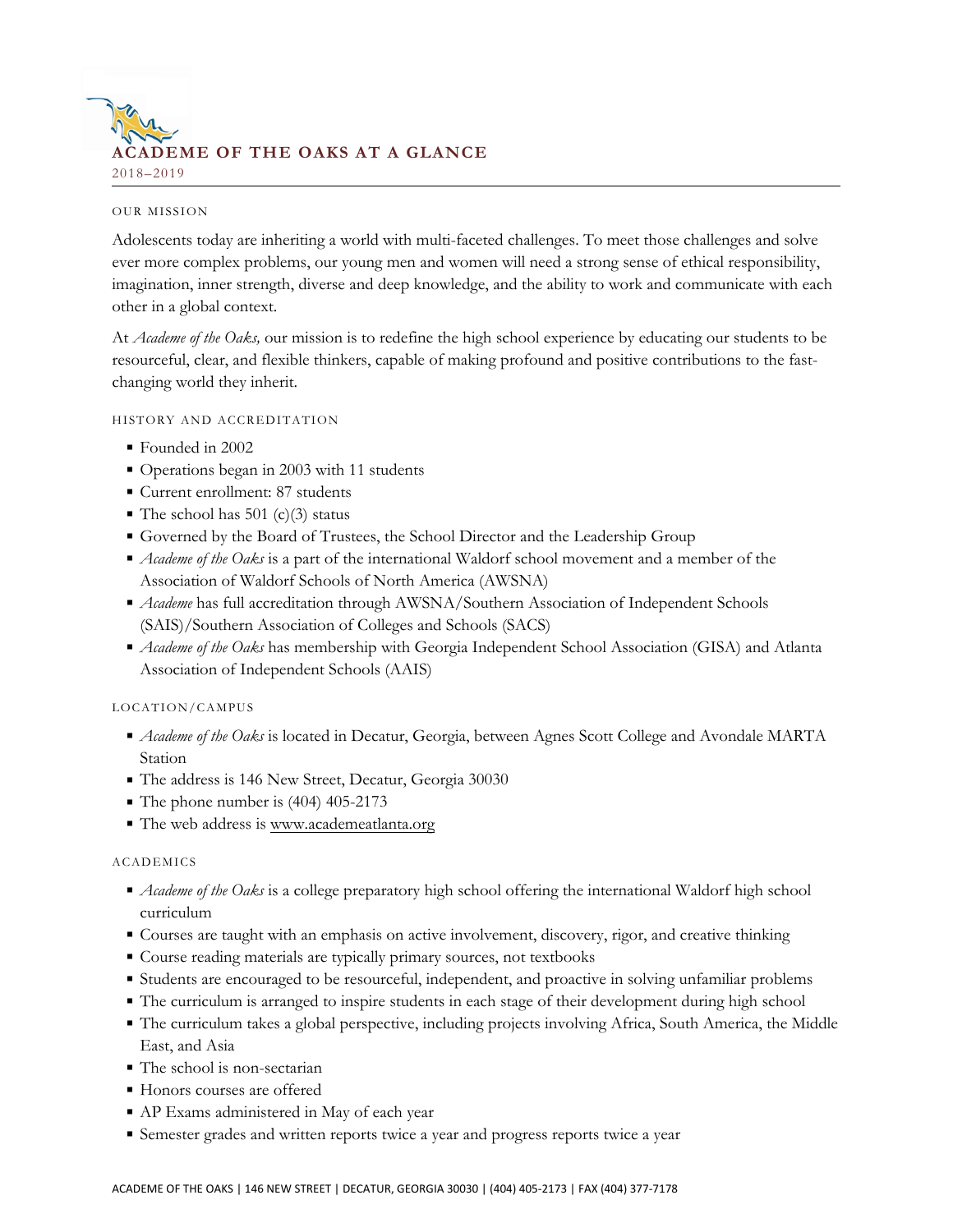

### **OUR MISSION**

Adolescents today are inheriting a world with multi-faceted challenges. To meet those challenges and solve ever more complex problems, our young men and women will need a strong sense of ethical responsibility, imagination, inner strength, diverse and deep knowledge, and the ability to work and communicate with each other in a global context.

At *Academe of the Oaks,* our mission is to redefine the high school experience by educating our students to be resourceful, clear, and flexible thinkers, capable of making profound and positive contributions to the fastchanging world they inherit.

## HISTORY AND ACCREDITATION

- Founded in 2002
- Operations began in 2003 with 11 students
- Current enrollment: 87 students
- The school has 501 (c)(3) status
- Governed by the Board of Trustees, the School Director and the Leadership Group
- *Academe of the Oaks* is a part of the international Waldorf school movement and a member of the Association of Waldorf Schools of North America (AWSNA)
- **Academe** has full accreditation through AWSNA/Southern Association of Independent Schools (SAIS)/Southern Association of Colleges and Schools (SACS)
- *Academe of the Oaks* has membership with Georgia Independent School Association (GISA) and Atlanta Association of Independent Schools (AAIS)

# LOCATION/CAMPUS

- *Academe of the Oaks* is located in Decatur, Georgia, between Agnes Scott College and Avondale MARTA Station
- The address is 146 New Street, Decatur, Georgia 30030
- The phone number is  $(404)$  405-2173
- The web address is [www.academeatlanta.org](http://www.academeatlanta.org)

# ACADEMICS

- *Academe of the Oaks* is a college preparatory high school offering the international Waldorf high school curriculum
- Courses are taught with an emphasis on active involvement, discovery, rigor, and creative thinking
- Course reading materials are typically primary sources, not textbooks
- Students are encouraged to be resourceful, independent, and proactive in solving unfamiliar problems
- The curriculum is arranged to inspire students in each stage of their development during high school
- The curriculum takes a global perspective, including projects involving Africa, South America, the Middle East, and Asia
- The school is non-sectarian
- **Honors courses are offered**
- AP Exams administered in May of each year
- Semester grades and written reports twice a year and progress reports twice a year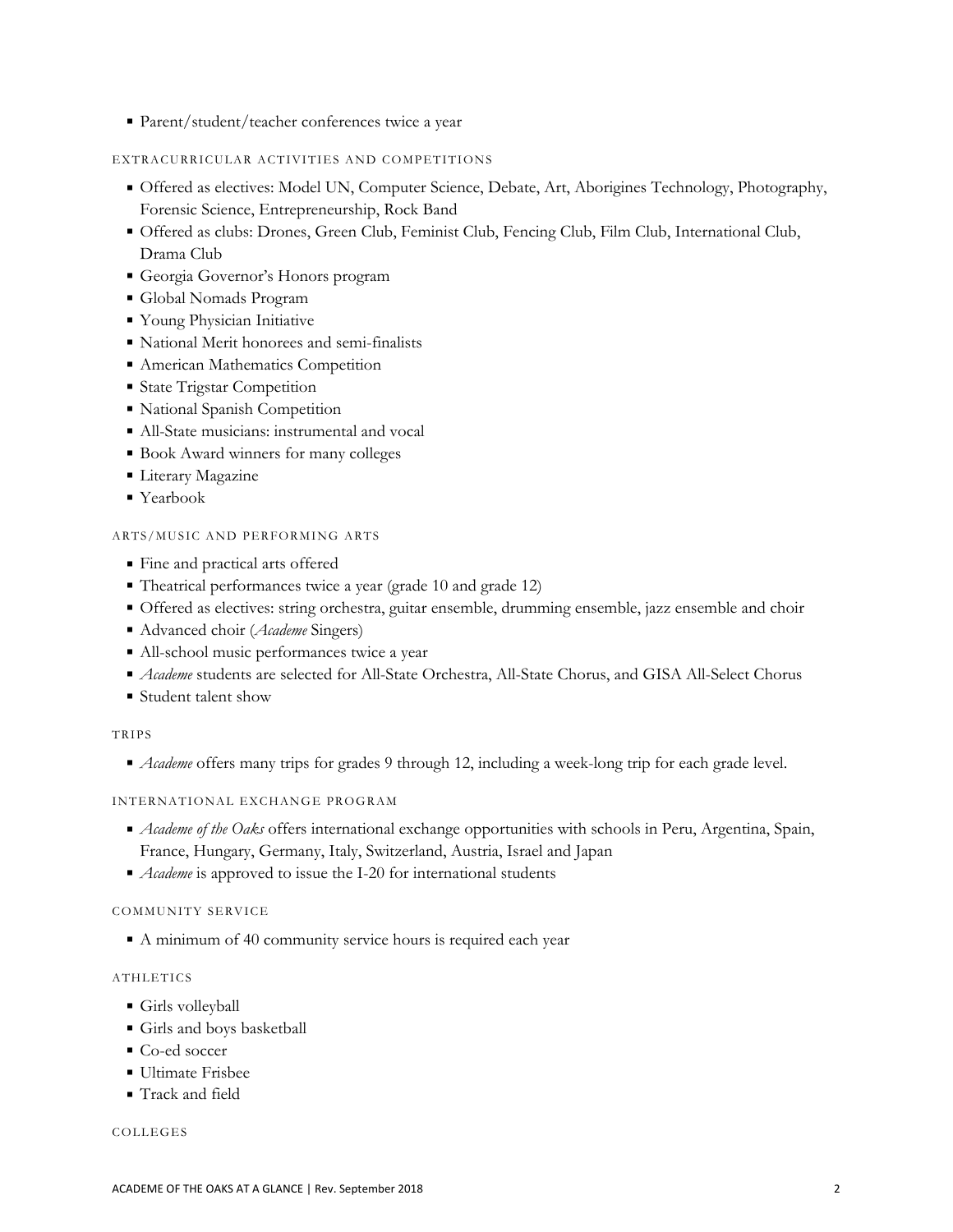■ Parent/student/teacher conferences twice a year

## EXTRACURRICULAR ACTIVITIES AND COMPETITIONS

- Offered as electives: Model UN, Computer Science, Debate, Art, Aborigines Technology, Photography, Forensic Science, Entrepreneurship, Rock Band
- Offered as clubs: Drones, Green Club, Feminist Club, Fencing Club, Film Club, International Club, Drama Club
- Georgia Governor's Honors program
- Global Nomads Program
- Young Physician Initiative
- National Merit honorees and semi-finalists
- **American Mathematics Competition**
- **State Trigstar Competition**
- National Spanish Competition
- All-State musicians: instrumental and vocal
- Book Award winners for many colleges
- **Literary Magazine**
- Yearbook

## ARTS/MUSIC AND PERFORMING ARTS

- Fine and practical arts offered
- Theatrical performances twice a year (grade 10 and grade 12)
- Offered as electives: string orchestra, guitar ensemble, drumming ensemble, jazz ensemble and choir
- Advanced choir (*Academe* Singers)
- All-school music performances twice a year
- *Academe* students are selected for All-State Orchestra, All-State Chorus, and GISA All-Select Chorus
- Student talent show

# TRIPS

*Academe* offers many trips for grades 9 through 12, including a week-long trip for each grade level.

#### INTERNATIONAL EXCHANGE PROGRAM

- *Academe of the Oaks* offers international exchange opportunities with schools in Peru, Argentina, Spain, France, Hungary, Germany, Italy, Switzerland, Austria, Israel and Japan
- *Academe* is approved to issue the I-20 for international students

#### COMMUNITY SERVICE

A minimum of 40 community service hours is required each year

# **ATHLETICS**

- Girls volleyball
- Girls and boys basketball
- Co-ed soccer
- **Ultimate Frisbee**
- Track and field

#### COLLEGES